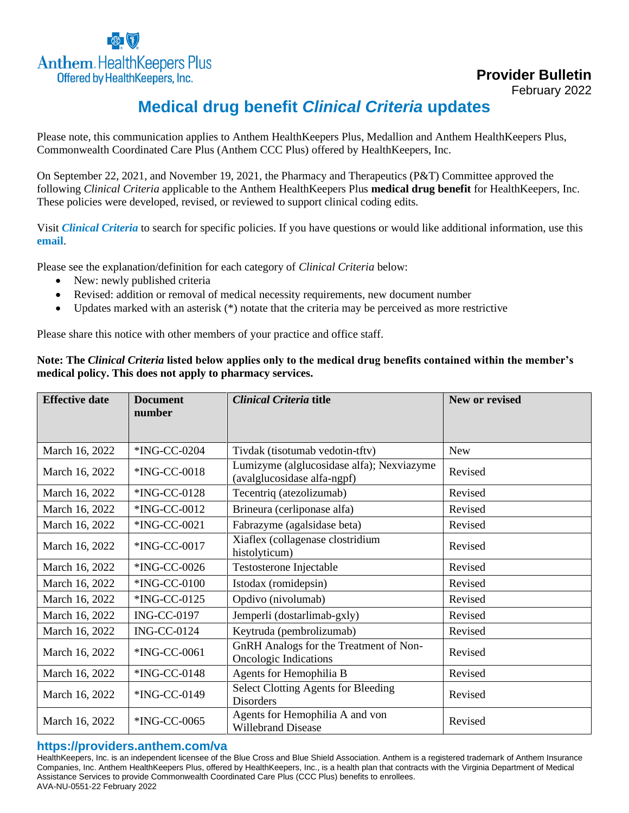

**Provider Bulletin**

February 2022

## **Medical drug benefit** *Clinical Criteria* **updates**

Please note, this communication applies to Anthem HealthKeepers Plus, Medallion and Anthem HealthKeepers Plus, Commonwealth Coordinated Care Plus (Anthem CCC Plus) offered by HealthKeepers, Inc.

On September 22, 2021, and November 19, 2021, the Pharmacy and Therapeutics (P&T) Committee approved the following *Clinical Criteria* applicable to the Anthem HealthKeepers Plus **medical drug benefit** for HealthKeepers, Inc. These policies were developed, revised, or reviewed to support clinical coding edits.

Visit *[Clinical Criteria](http://www.anthem.com/pharmacyinformation/clinicalcriteria)* to search for specific policies. If you have questions or would like additional information, use this **[email](mailto:druglist@ingenio-rx.com)**.

Please see the explanation/definition for each category of *Clinical Criteria* below:

- New: newly published criteria
- Revised: addition or removal of medical necessity requirements, new document number
- Updates marked with an asterisk  $(*)$  notate that the criteria may be perceived as more restrictive

Please share this notice with other members of your practice and office staff.

## **Note: The** *Clinical Criteria* **listed below applies only to the medical drug benefits contained within the member's medical policy. This does not apply to pharmacy services.**

| <b>Effective date</b> | <b>Document</b>    | Clinical Criteria title                                                  | New or revised |
|-----------------------|--------------------|--------------------------------------------------------------------------|----------------|
|                       | number             |                                                                          |                |
|                       |                    |                                                                          |                |
| March 16, 2022        | *ING-CC-0204       | Tivdak (tisotumab vedotin-tftv)                                          | <b>New</b>     |
| March 16, 2022        | *ING-CC-0018       | Lumizyme (alglucosidase alfa); Nexviazyme<br>(avalglucosidase alfa-ngpf) | Revised        |
| March 16, 2022        | *ING-CC-0128       | Tecentriq (atezolizumab)                                                 | Revised        |
| March 16, 2022        | *ING-CC-0012       | Brineura (cerliponase alfa)                                              | Revised        |
| March 16, 2022        | *ING-CC-0021       | Fabrazyme (agalsidase beta)                                              | Revised        |
| March 16, 2022        | *ING-CC-0017       | Xiaflex (collagenase clostridium<br>histolyticum)                        | Revised        |
| March 16, 2022        | *ING-CC-0026       | Testosterone Injectable                                                  | Revised        |
| March 16, 2022        | *ING-CC-0100       | Istodax (romidepsin)                                                     | Revised        |
| March 16, 2022        | *ING-CC-0125       | Opdivo (nivolumab)                                                       | Revised        |
| March 16, 2022        | <b>ING-CC-0197</b> | Jemperli (dostarlimab-gxly)                                              | Revised        |
| March 16, 2022        | <b>ING-CC-0124</b> | Keytruda (pembrolizumab)                                                 | Revised        |
| March 16, 2022        | *ING-CC-0061       | GnRH Analogs for the Treatment of Non-<br>Oncologic Indications          | Revised        |
| March 16, 2022        | *ING-CC-0148       | Agents for Hemophilia B                                                  | Revised        |
| March 16, 2022        | *ING-CC-0149       | <b>Select Clotting Agents for Bleeding</b><br><b>Disorders</b>           | Revised        |
| March 16, 2022        | *ING-CC-0065       | Agents for Hemophilia A and von<br><b>Willebrand Disease</b>             | Revised        |

## **https://providers.anthem.com/va**

HealthKeepers, Inc. is an independent licensee of the Blue Cross and Blue Shield Association. Anthem is a registered trademark of Anthem Insurance Companies, Inc. Anthem HealthKeepers Plus, offered by HealthKeepers, Inc., is a health plan that contracts with the Virginia Department of Medical Assistance Services to provide Commonwealth Coordinated Care Plus (CCC Plus) benefits to enrollees. AVA-NU-0551-22 February 2022